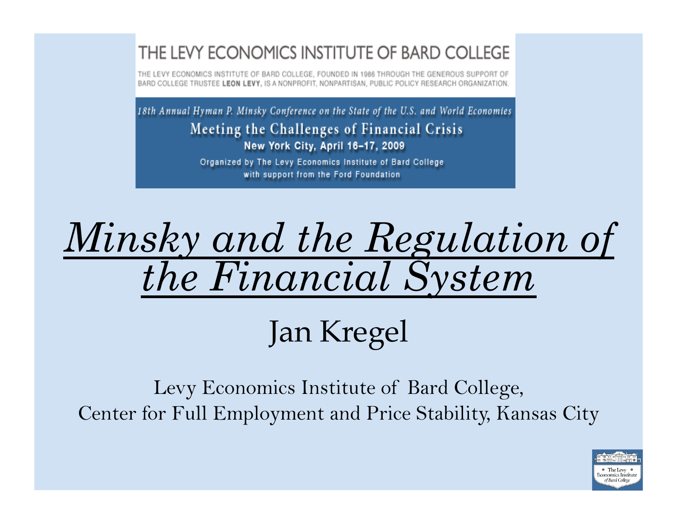#### THE LEVY ECONOMICS INSTITUTE OF BARD COLLEGE

THE LEVY ECONOMICS INSTITUTE OF BARD COLLEGE. FOUNDED IN 1986 THROUGH THE GENEROUS SUPPORT OF BARD COLLEGE TRUSTEE LEON LEVY, IS A NONPROFIT, NONPARTISAN, PUBLIC POLICY RESEARCH ORGANIZATION

18th Annual Hyman P. Minsky Conference on the State of the U.S. and World Economies Meeting the Challenges of Financial Crisis New York City, April 16-17, 2009

> Organized by The Levy Economics Institute of Bard College with support from the Ford Foundation

# *Minsky and the Regulation of the Financial System*

Jan Kregel

Levy Economics Institute of Bard College, Center for Full Employment and Price Stability, Kansas City

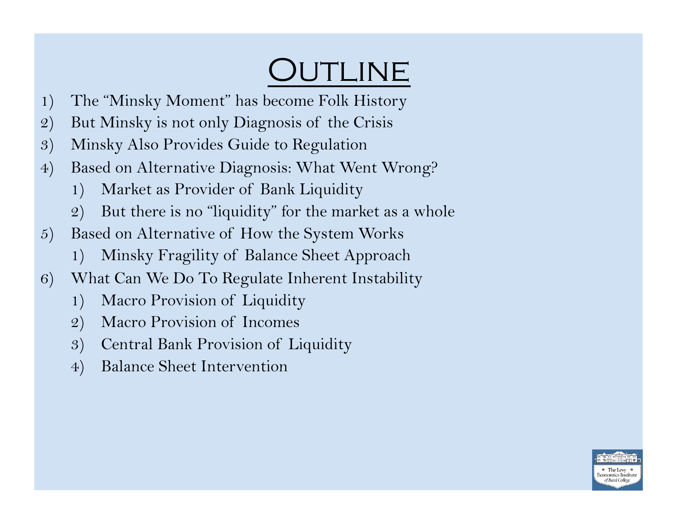## OUTLINE

- 1) The "Minsky Moment" has become Folk History
- 2) But Minsky is not only Diagnosis of the Crisis
- 3) Minsky Also Provides Guide to Regulation
- 4) Based on Alternative Diagnosis: What Went Wrong?
	- 1) Market as Provider of Bank Liquidity
	- 2) But there is no "liquidity" for the market as a whole
- 5) Based on Alternative of How the System Works
	- 1) Minsky Fragility of Balance Sheet Approach
- 6) What Can We Do To Regulate Inherent Instability
	- 1) Macro Provision of Liquidity
	- 2) Macro Provision of Incomes
	- 3) Central Bank Provision of Liquidity
	- 4) Balance Sheet Intervention

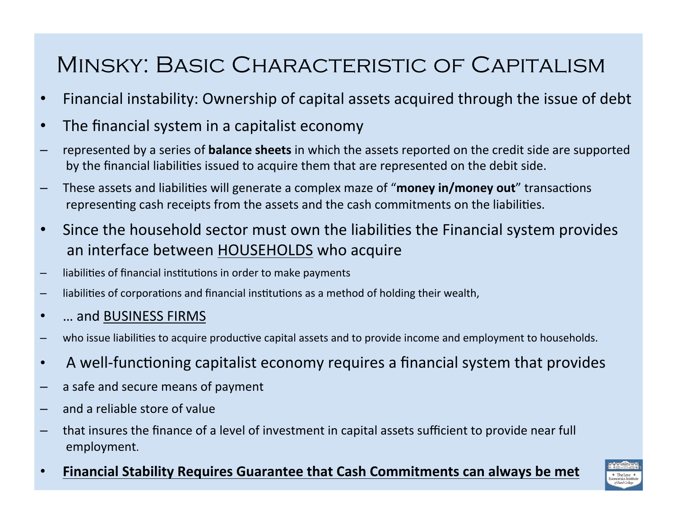### Minsky: Basic Characteristic of Capitalism

- Financial instability: Ownership of capital assets acquired through the issue of debt
- The financial system in a capitalist economy
- represented by a series of **balance sheets** in which the assets reported on the credit side are supported by the financial liabilities issued to acquire them that are represented on the debit side.
- These assets and liabilities will generate a complex maze of "money in/money out" transactions representing cash receipts from the assets and the cash commitments on the liabilities.
- Since the household sector must own the liabilities the Financial system provides an
interface
between
HOUSEHOLDS
who
acquire
- liabilities of financial institutions in order to make payments
- liabilities of corporations and financial institutions as a method of holding their wealth,
- ... and BUSINESS FIRMS
- who issue liabilities to acquire productive capital assets and to provide income and employment to households.
- A well-functioning capitalist economy requires a financial system that provides
- a safe and secure means of payment
- and a reliable store of value
- that insures the finance of a level of investment in capital assets sufficient to provide near full employment.
- **Financial Stability Requires Guarantee that Cash Commitments can always be met**

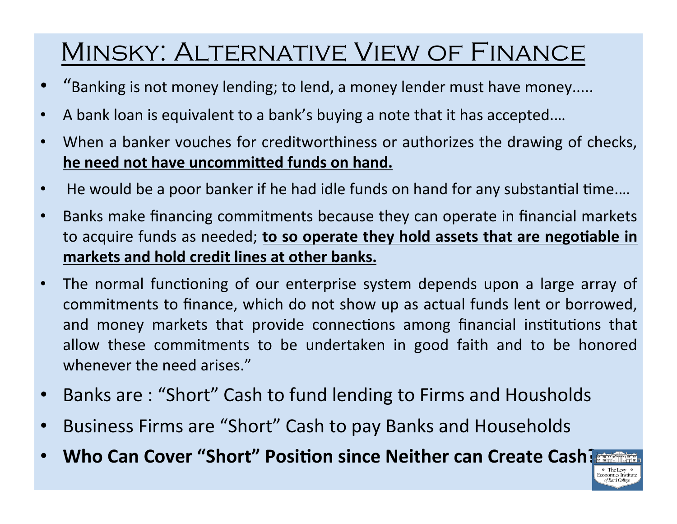## Minsky: Alternative View of Finance

- "Banking is not money lending; to lend, a money lender must have money.....
- A bank loan is equivalent to a bank's buying a note that it has accepted....
- When a banker vouches for creditworthiness or authorizes the drawing of checks, he need not have uncommitted funds on hand.
- He would be a poor banker if he had idle funds on hand for any substantial time....
- Banks make financing commitments because they can operate in financial markets to acquire funds as needed; to so operate they hold assets that are negotiable in **markets
and
hold
credit
lines
at
other
banks.**
- The normal functioning of our enterprise system depends upon a large array of commitments
to
finance,
which
do
not
show
up
as
actual
funds
lent
or
borrowed, and money markets that provide connections among financial institutions that allow these commitments to be undertaken in good faith and to be honored whenever the need arises."
- Banks are: "Short" Cash to fund lending to Firms and Housholds
- Business Firms are "Short" Cash to pay Banks and Households
- Who Can Cover "Short" Position since Neither can Create Cash?

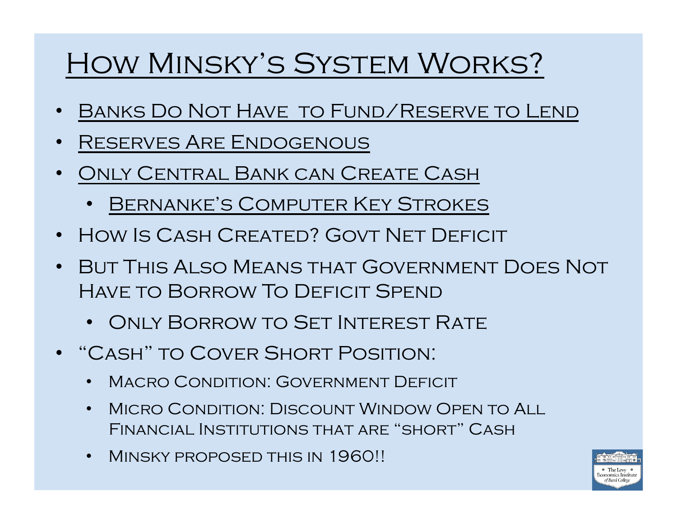## How Minsky's System Works?

- Banks Do Not Have to Fund/Reserve to Lend
- Reserves Are Endogenous
- Only Central Bank can Create Cash
	- Bernanke's Computer Key Strokes
- HOW IS CASH CREATED? GOVT NET DEFICIT
- But This Also Means that Government Does Not Have to Borrow To Deficit Spend
	- Only Borrow to Set Interest Rate
- "Cash" to Cover Short Position:
	- Macro Condition: Government Deficit
	- MICRO CONDITION: DISCOUNT WINDOW OPEN TO ALL Financial Institutions that are "short" Cash
	- Minsky proposed this in 1960!!

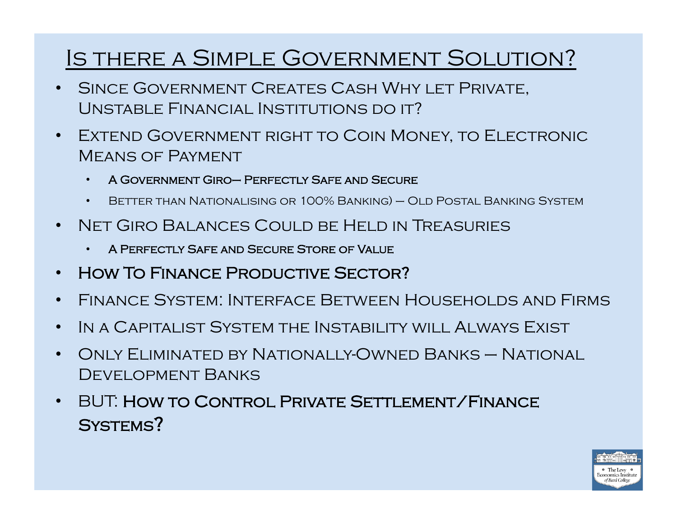### Is there a Simple Government Solution?

- SINCE GOVERNMENT CREATES CASH WHY LET PRIVATE, Unstable Financial Institutions do it?
- Extend Government right to Coin Money, to Electronic Means of Payment
	- A Government Giro– Perfectly Safe and Secure
	- BETTER THAN NATIONALISING OR 100% BANKING) OLD POSTAL BANKING SYSTEM
- Net Giro Balances Could be Held in Treasuries
	- A Perfectly Safe and Secure Store of Value
- HOW TO FINANCE PRODUCTIVE SECTOR?
- Finance System: Interface Between Households and Firms
- IN A CAPITALIST SYSTEM THE INSTABILITY WILL ALWAYS EXIST
- Only Eliminated by Nationally-Owned Banks National DEVELOPMENT BANKS
- BUT: How to Control Private Settlement/Finance SYSTEMS?

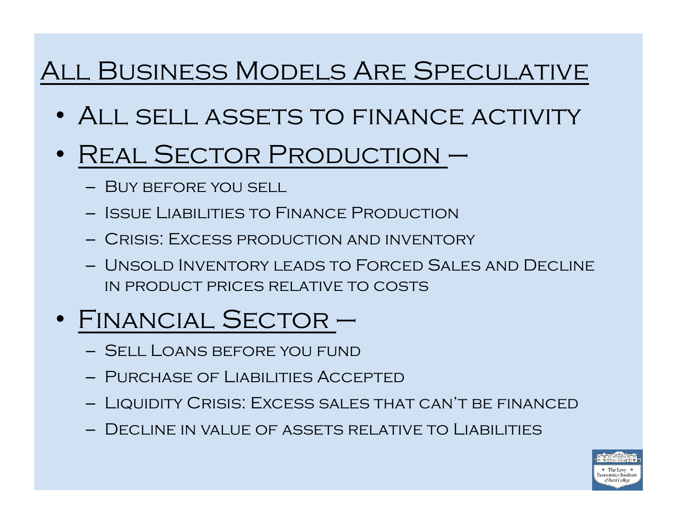## All Business Models Are Speculative

- ALL SELL ASSETS TO FINANCE ACTIVITY
- REAL SECTOR PRODUCTION -
	- Buy before you sell
	- Issue Liabilities to Finance Production
	- Crisis: Excess production and inventory
	- Unsold Inventory leads to Forced Sales and Decline in product prices relative to costs
- Financial Sector
	- Sell Loans before you fund
	- Purchase of Liabilities Accepted
	- Liquidity Crisis: Excess sales that can't be financed
	- Decline in value of assets relative to Liabilities

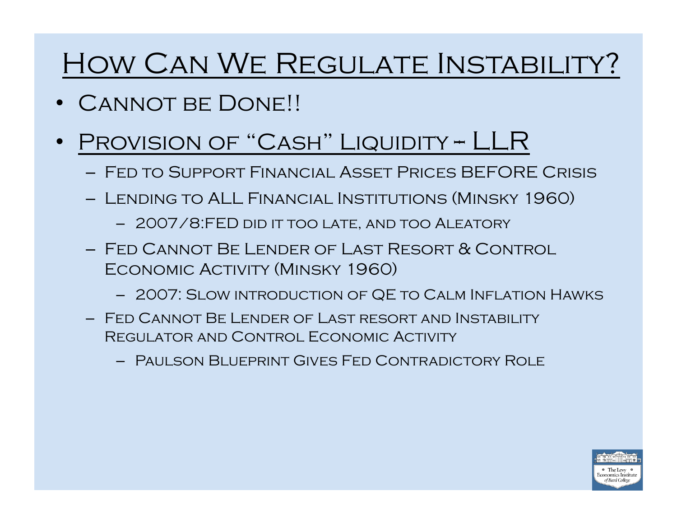## How Can We Regulate Instability?

- CANNOT BE DONE!!
- PROVISION OF "CASH" LIQUIDITY -- LLR
	- Fed to Support Financial Asset Prices BEFORE Crisis
	- Lending to ALL Financial Institutions (Minsky 1960)
		- 2007/8:FED did it too late, and too Aleatory
	- Fed Cannot Be Lender of Last Resort & Control ECONOMIC ACTIVITY (MINSKY 1960)
		- 2007: Slow introduction of QE to Calm Inflation Hawks
	- Fed Cannot Be Lender of Last resort and Instability Regulator and Control Economic Activity
		- Paulson Blueprint Gives Fed Contradictory Role

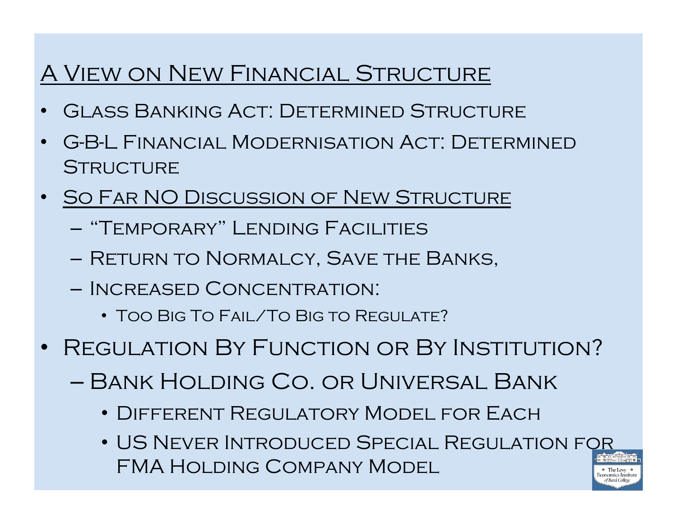### A View on New Financial Structure

- Glass Banking Act: Determined Structure
- G-B-L Financial Modernisation Act: Determined **STRUCTURE**
- SO FAR NO DISCUSSION OF NEW STRUCTURE
	- "Temporary" Lending Facilities
	- Return to Normalcy, Save the Banks,
	- Increased Concentration:
		- Too Big To Fail/To Big to Regulate?
- REGULATION BY FUNCTION OR BY INSTITUTION?
	- Bank Holding Co. or Universal Bank
		- Different Regulatory Model for Each
		- US Never Introduced Special Regulation for FMA Holding Company Model conomics Institute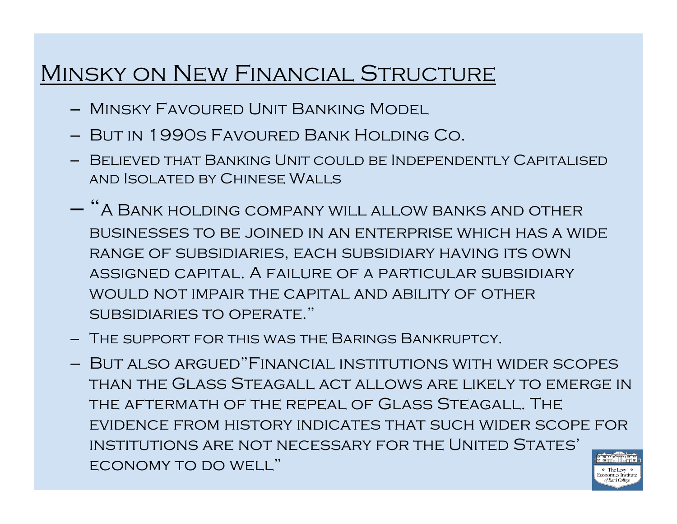#### Minsky on New Financial Structure

- Minsky Favoured Unit Banking Model
- But in 1990s Favoured Bank Holding Co.
- Believed that Banking Unit could be Independently Capitalised and Isolated by Chinese Walls
- "A Bank holding company will allow banks and other businesses to be joined in an enterprise which has a wide range of subsidiaries, each subsidiary having its own assigned capital. A failure of a particular subsidiary would not impair the capital and ability of other subsidiaries to operate."
- The support for this was the Barings Bankruptcy.
- But also argued"Financial institutions with wider scopes than the Glass Steagall act allows are likely to emerge in the aftermath of the repeal of Glass Steagall. The evidence from history indicates that such wider scope for institutions are not necessary for the United States' economy to do well"  $\circ$  The Levy Economics Institute

of Bard College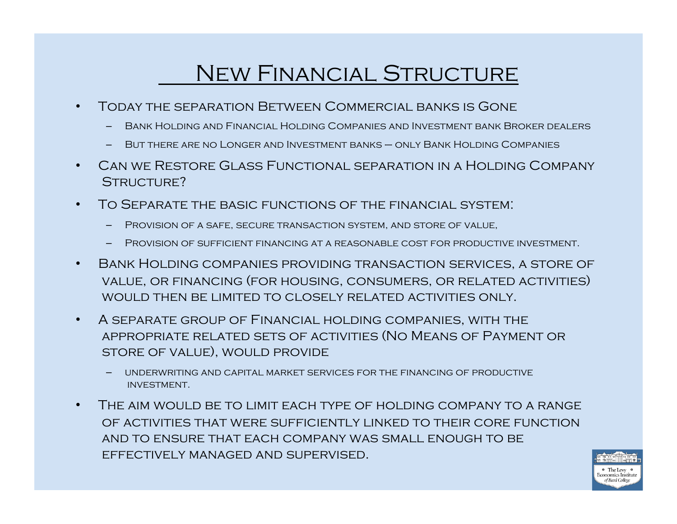#### New Financial Structure

- Today the separation Between Commercial banks is Gone
	- Bank Holding and Financial Holding Companies and Investment bank Broker dealers
	- But there are no Longer and Investment banks only Bank Holding Companies
- Can we Restore Glass Functional separation in a Holding Company STRUCTURE?
- To Separate the basic functions of the financial system:
	- Provision of a safe, secure transaction system, and store of value,
	- Provision of sufficient financing at a reasonable cost for productive investment.
- Bank Holding companies providing transaction services, a store of value, or financing (for housing, consumers, or related activities) would then be limited to closely related activities only.
- A separate group of Financial holding companies, with the appropriate related sets of activities (No Means of Payment or store of value), would provide
	- underwriting and capital market services for the financing of productive investment.
- The aim would be to limit each type of holding company to a range of activities that were sufficiently linked to their core function and to ensure that each company was small enough to be effectively managed and supervised.